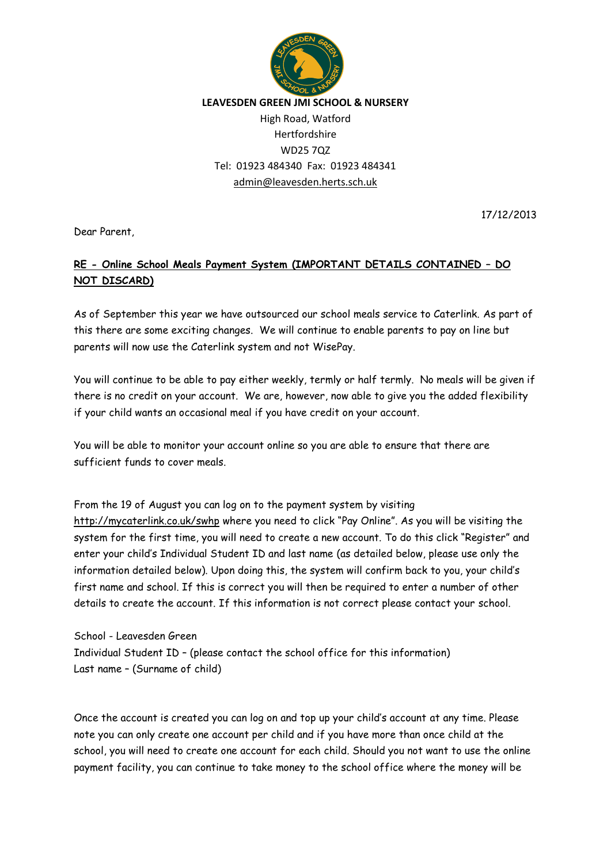

## **LEAVESDEN GREEN JMI SCHOOL & NURSERY**

## High Road, Watford Hertfordshire WD25 7QZ Tel: 01923 484340 Fax: 01923 484341 [admin@leavesden.herts.sch.uk](mailto:admin@leavesden.herts.sch.uk)

17/12/2013

Dear Parent,

## **RE - Online School Meals Payment System (IMPORTANT DETAILS CONTAINED – DO NOT DISCARD)**

As of September this year we have outsourced our school meals service to Caterlink. As part of this there are some exciting changes. We will continue to enable parents to pay on line but parents will now use the Caterlink system and not WisePay.

You will continue to be able to pay either weekly, termly or half termly. No meals will be given if there is no credit on your account. We are, however, now able to give you the added flexibility if your child wants an occasional meal if you have credit on your account.

You will be able to monitor your account online so you are able to ensure that there are sufficient funds to cover meals.

From the 19 of August you can log on to the payment system by visiting <http://mycaterlink.co.uk/swhp> where you need to click "Pay Online". As you will be visiting the system for the first time, you will need to create a new account. To do this click "Register" and enter your child's Individual Student ID and last name (as detailed below, please use only the information detailed below). Upon doing this, the system will confirm back to you, your child's first name and school. If this is correct you will then be required to enter a number of other details to create the account. If this information is not correct please contact your school.

School - Leavesden Green Individual Student ID – (please contact the school office for this information) Last name – (Surname of child)

Once the account is created you can log on and top up your child's account at any time. Please note you can only create one account per child and if you have more than once child at the school, you will need to create one account for each child. Should you not want to use the online payment facility, you can continue to take money to the school office where the money will be